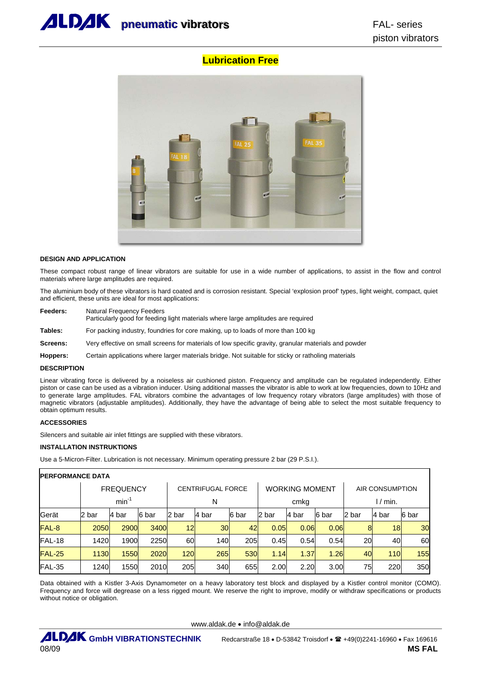

# **Lubrication Free**



#### **DESIGN AND APPLICATION**

These compact robust range of linear vibrators are suitable for use in a wide number of applications, to assist in the flow and control materials where large amplitudes are required.

The aluminium body of these vibrators is hard coated and is corrosion resistant. Special 'explosion proof' types, light weight, compact, quiet and efficient, these units are ideal for most applications:

**Feeders:** Natural Frequency Feeders

Particularly good for feeding light materials where large amplitudes are required

**Tables:** For packing industry, foundries for core making, up to loads of more than 100 kg

**Screens:** Very effective on small screens for materials of low specific gravity, granular materials and powder

**Hoppers:** Certain applications where larger materials bridge. Not suitable for sticky or ratholing materials

#### **DESCRIPTION**

Linear vibrating force is delivered by a noiseless air cushioned piston. Frequency and amplitude can be regulated independently. Either piston or case can be used as a vibration inducer. Using additional masses the vibrator is able to work at low frequencies, down to 10Hz and to generate large amplitudes. FAL vibrators combine the advantages of low frequency rotary vibrators (large amplitudes) with those of magnetic vibrators (adjustable amplitudes). Additionally, they have the advantage of being able to select the most suitable frequency to obtain optimum results.

### **ACCESSORIES**

Silencers and suitable air inlet fittings are supplied with these vibrators.

#### **INSTALLATION INSTRUKTIONS**

Use a 5-Micron-Filter. Lubrication is not necessary. Minimum operating pressure 2 bar (29 P.S.I.).

| <b>IPERFORMANCE DATA</b> |             |                  |       |       |                          |            |       |                       |       |                        |        |            |  |  |
|--------------------------|-------------|------------------|-------|-------|--------------------------|------------|-------|-----------------------|-------|------------------------|--------|------------|--|--|
|                          |             | <b>FREQUENCY</b> |       |       | <b>CENTRIFUGAL FORCE</b> |            |       | <b>WORKING MOMENT</b> |       | <b>AIR CONSUMPTION</b> |        |            |  |  |
|                          |             | $min^{-1}$       |       |       | N                        |            |       | cmkg                  |       | $1/m$ in.              |        |            |  |  |
| Gerät                    | 12<br>. bar | l4 bar           | 6 bar | 2 bar | l4 bar                   | 6 bar      | 2 bar | 4 bar                 | 6 bar | 2 bar                  | l4 bar | 6 bar      |  |  |
| FAL-8                    | <b>2050</b> | 2900             | 3400  | 12    | 30                       | 42         | 0.05  | 0.06                  | 0.06  | 8                      | 18     | 30         |  |  |
| <b>FAL-18</b>            | 1420        | 1900             | 2250  | 60    | 140                      | 205        | 0.45  | 0.54                  | 0.54  | 20                     | 40     | 60         |  |  |
| <b>FAL-25</b>            | 1130        | <b>1550</b>      | 2020  | 120   | 265                      | <b>530</b> | 1.14  | 1.37                  | 1.26  | 40                     | 110    | <b>155</b> |  |  |
| <b>FAL-35</b>            | 1240        | 1550             | 2010  | 205   | 340                      | 655        | 2.00  | 2.20                  | 3.00  | 75                     | 220    | 350        |  |  |

Data obtained with a Kistler 3-Axis Dynamometer on a heavy laboratory test block and displayed by a Kistler control monitor (COMO). Frequency and force will degrease on a less rigged mount. We reserve the right to improve, modify or withdraw specifications or products without notice or obligation.

www.aldak.de • info@aldak.de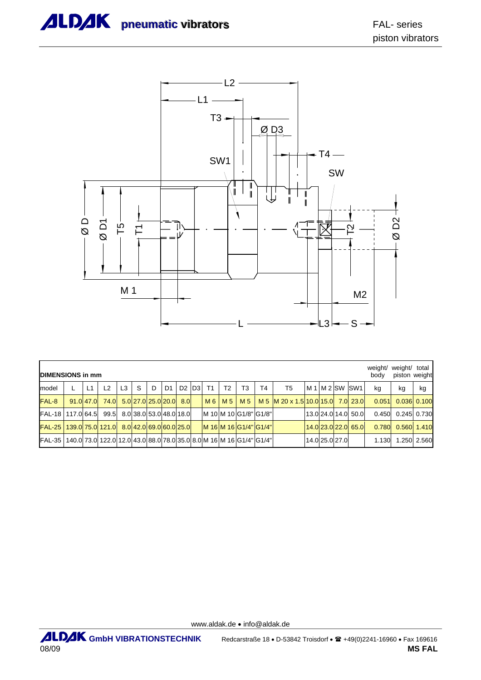

|                                                   | <b>DIMENSIONS in mm</b> |           |                                                                     |                |    |                         |                |     |  |                                              |    |                |                       |                                                        |  |                | weight/<br>body     | weight/ total<br>piston weight |                     |             |
|---------------------------------------------------|-------------------------|-----------|---------------------------------------------------------------------|----------------|----|-------------------------|----------------|-----|--|----------------------------------------------|----|----------------|-----------------------|--------------------------------------------------------|--|----------------|---------------------|--------------------------------|---------------------|-------------|
| model                                             |                         | L1        | 12                                                                  | L <sub>3</sub> | S. | D                       | D <sub>1</sub> |     |  | D <sub>2</sub> D <sub>3</sub> T <sub>1</sub> | T2 | T <sub>3</sub> | T <sub>4</sub>        | T5                                                     |  |                | IM 1 IM 2 ISW ISW1  | kg                             | kg                  | kg          |
| FAL-8                                             |                         | 91.0 47.0 |                                                                     |                |    | 74.0 5.0 27.0 25.0 20.0 |                | 8.0 |  |                                              |    |                |                       | M 6   M 5   M 5   M 5  M 20 x 1.5 10.0 15.0  7.0  23.0 |  |                |                     |                                | $0.051$ 0.036 0.100 |             |
| FAL-18   117.0 64.5 99.5 8.0 38.0 53.0 48.0 18.0  |                         |           |                                                                     |                |    |                         |                |     |  |                                              |    |                | M 10 M 10 G1/8" G1/8" |                                                        |  |                | 13.0 24.0 14.0 50.0 |                                | 0.450 0.245 0.730   |             |
| FAL-25   139.0 75.0 121.0 8.0 42.0 69.0 60.0 25.0 |                         |           |                                                                     |                |    |                         |                |     |  |                                              |    |                | M 16 M 16 G1/4" G1/4" |                                                        |  |                | 14.0 23.0 22.0 65.0 | 0.780                          |                     | 0.560 1.410 |
| <b>FAL-35</b>                                     |                         |           | 140.0 73.0 122.0 12.0 43.0 88.0 78.0 35.0 8.0 M 16 M 16 G1/4" G1/4" |                |    |                         |                |     |  |                                              |    |                |                       |                                                        |  | 14.0 25.0 27.0 |                     | 1.130                          |                     | .250 2.560  |